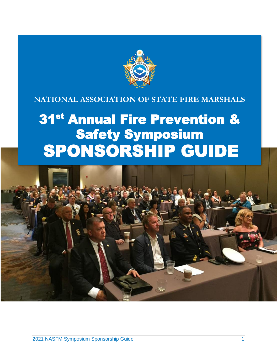

## **NATIONAL ASSOCIATION OF STATE FIRE MARSHALS**

# 31<sup>st</sup> Annual Fire Prevention & Safety Symposium SPONSORSHIP GUIDE

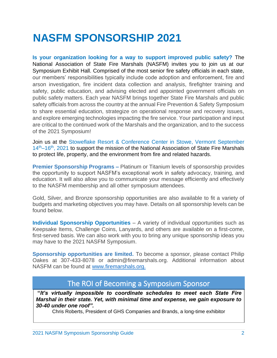## **NASFM SPONSORSHIP 2021**

**Is your organization looking for a way to support improved public safety?** The National Association of State Fire Marshals (NASFM) invites you to join us at our Symposium Exhibit Hall. Comprised of the most senior fire safety officials in each state, our members' responsibilities typically include code adoption and enforcement, fire and arson investigation, fire incident data collection and analysis, firefighter training and safety, public education, and advising elected and appointed government officials on public safety matters. Each year NASFM brings together State Fire Marshals and public safety officials from across the country at the annual Fire Prevention & Safety Symposium to share essential education, strategize on operational response and recovery issues, and explore emerging technologies impacting the fire service. Your participation and input are critical to the continued work of the Marshals and the organization, and to the success of the 2021 Symposium!

Join us at the Stoweflake Resort & Conference Center in Stowe, Vermont September 14<sup>th</sup>–16<sup>th</sup>, 2021 to support the mission of the National Association of State Fire Marshals to protect life, property, and the environment from fire and related hazards.

**Premier Sponsorship Programs –** Platinum or Titanium levels of sponsorship provides the opportunity to support NASFM's exceptional work in safety advocacy, training, and education. It will also allow you to communicate your message efficiently and effectively to the NASFM membership and all other symposium attendees.

Gold, Silver, and Bronze sponsorship opportunities are also available to fit a variety of budgets and marketing objectives you may have. Details on all sponsorship levels can be found below.

**Individual Sponsorship Opportunities** – A variety of individual opportunities such as Keepsake Items, Challenge Coins, Lanyards, and others are available on a first-come, first-served basis. We can also work with you to bring any unique sponsorship ideas you may have to the 2021 NASFM Symposium.

**Sponsorship opportunities are limited.** To become a sponsor, please contact Philip Oakes at 307-433-8078 or admin@firemarshals.org. Additional information about NASFM can be found at [www.firemarshals.org.](http://www.firemarshals.org/)

## The ROI of Becoming a Symposium Sponsor

**"***It's virtually impossible to coordinate schedules to meet each State Fire Marshal in their state. Yet, with minimal time and expense, we gain exposure to 30-40 under one roof".*

Chris Roberts, President of GHS Companies and Brands, a long-time exhibitor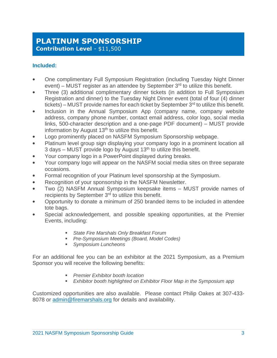## **PLATINUM SPONSORSHIP Contribution Level** - \$11,500

#### **Included:**

- One complimentary Full Symposium Registration (including Tuesday Night Dinner event) – MUST register as an attendee by September  $3<sup>rd</sup>$  to utilize this benefit.
- Three (3) additional complimentary dinner tickets (in addition to Full Symposium Registration and dinner) to the Tuesday Night Dinner event (total of four (4) dinner tickets) – MUST provide names for each ticket by September  $3<sup>rd</sup>$  to utilize this benefit.
- Inclusion in the Annual Symposium App (company name, company website address, company phone number, contact email address, color logo, social media links, 500-character description and a one-page PDF document) – MUST provide information by August 13<sup>th</sup> to utilize this benefit.
- Logo prominently placed on NASFM Symposium Sponsorship webpage.
- Platinum level group sign displaying your company logo in a prominent location all 3 days – MUST provide logo by August  $13<sup>th</sup>$  to utilize this benefit.
- Your company logo in a PowerPoint displayed during breaks.
- Your company logo will appear on the NASFM social media sites on three separate occasions.
- Formal recognition of your Platinum level sponsorship at the Symposium.
- Recognition of your sponsorship in the NASFM Newsletter.
- Two (2) NASFM Annual Symposium keepsake items MUST provide names of recipients by September 3<sup>rd</sup> to utilize this benefit.
- Opportunity to donate a minimum of 250 branded items to be included in attendee tote bags.
- Special acknowledgement, and possible speaking opportunities, at the Premier Events, including:
	- *State Fire Marshals Only Breakfast Forum*
	- *Pre-Symposium Meetings (Board, Model Codes)*
	- *Symposium Luncheons*

For an additional fee you can be an exhibitor at the 2021 Symposium, as a Premium Sponsor you will receive the following benefits:

- *Premier Exhibitor booth location*
- *Exhibitor booth highlighted on Exhibitor Floor Map in the Symposium app*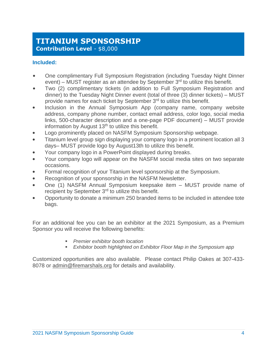## **TITANIUM SPONSORSHIP Contribution Level** - \$8,000

#### **Included:**

- One complimentary Full Symposium Registration (including Tuesday Night Dinner event) – MUST register as an attendee by September  $3<sup>rd</sup>$  to utilize this benefit.
- Two (2) complimentary tickets (in addition to Full Symposium Registration and dinner) to the Tuesday Night Dinner event (total of three (3) dinner tickets) – MUST provide names for each ticket by September 3<sup>rd</sup> to utilize this benefit.
- Inclusion in the Annual Symposium App (company name, company website address, company phone number, contact email address, color logo, social media links, 500-character description and a one-page PDF document) – MUST provide information by August  $13<sup>th</sup>$  to utilize this benefit.
- Logo prominently placed on NASFM Symposium Sponsorship webpage.
- Titanium level group sign displaying your company logo in a prominent location all 3 days– MUST provide logo by August13th to utilize this benefit.
- Your company logo in a PowerPoint displayed during breaks.
- Your company logo will appear on the NASFM social media sites on two separate occasions.
- Formal recognition of your Titanium level sponsorship at the Symposium.
- Recognition of your sponsorship in the NASFM Newsletter.
- One (1) NASFM Annual Symposium keepsake item MUST provide name of recipient by September 3<sup>rd</sup> to utilize this benefit.
- Opportunity to donate a minimum 250 branded items to be included in attendee tote bags.

For an additional fee you can be an exhibitor at the 2021 Symposium, as a Premium Sponsor you will receive the following benefits:

- *Premier exhibitor booth location*
- **Exhibitor booth highlighted on Exhibitor Floor Map in the Symposium app**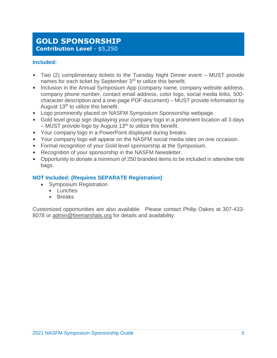## **GOLD SPONSORSHIP Contribution Level** - \$5,250

#### **Included:**

- Two (2) complimentary tickets to the Tuesday Night Dinner event MUST provide names for each ticket by September 3<sup>rd</sup> to utilize this benefit.
- Inclusion in the Annual Symposium App (company name, company website address, company phone number, contact email address, color logo, social media links, 500 character description and a one-page PDF document) – MUST provide information by August  $13<sup>th</sup>$  to utilize this benefit.
- Logo prominently placed on NASFM Symposium Sponsorship webpage.
- Gold level group sign displaying your company logo in a prominent location all 3 days  $-$  MUST provide logo by August 13<sup>th</sup> to utilize this benefit.
- Your company logo in a PowerPoint displayed during breaks.
- Your company logo will appear on the NASFM social media sites on one occasion.
- Formal recognition of your Gold level sponsorship at the Symposium.
- Recognition of your sponsorship in the NASFM Newsletter.
- Opportunity to donate a minimum of 250 branded items to be included in attendee tote bags.

#### **NOT Included: (Requires SEPARATE Registration)**

- Symposium Registration
	- Lunches
	- Breaks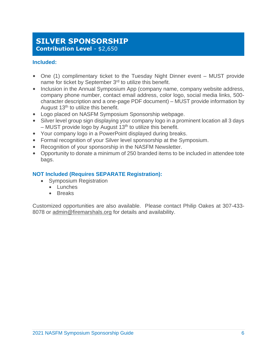## **SILVER SPONSORSHIP Contribution Level - \$2,650**

#### **Included:**

- One (1) complimentary ticket to the Tuesday Night Dinner event MUST provide name for ticket by September 3<sup>rd</sup> to utilize this benefit.
- Inclusion in the Annual Symposium App (company name, company website address, company phone number, contact email address, color logo, social media links, 500 character description and a one-page PDF document) – MUST provide information by August  $13<sup>th</sup>$  to utilize this benefit.
- Logo placed on NASFM Symposium Sponsorship webpage.
- Silver level group sign displaying your company logo in a prominent location all 3 days  $-$  MUST provide logo by August 13<sup>th</sup> to utilize this benefit.
- Your company logo in a PowerPoint displayed during breaks.
- Formal recognition of your Silver level sponsorship at the Symposium.
- Recognition of your sponsorship in the NASFM Newsletter.
- Opportunity to donate a minimum of 250 branded items to be included in attendee tote bags.

#### **NOT Included (Requires SEPARATE Registration):**

- Symposium Registration
	- Lunches
	- Breaks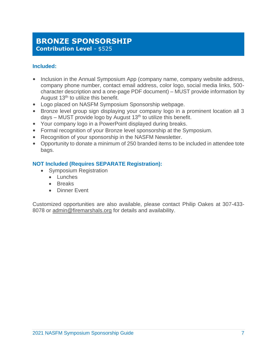## **BRONZE SPONSORSHIP Contribution Level** - \$525

#### **Included:**

- Inclusion in the Annual Symposium App (company name, company website address, company phone number, contact email address, color logo, social media links, 500 character description and a one-page PDF document) – MUST provide information by August 13<sup>th</sup> to utilize this benefit.
- Logo placed on NASFM Symposium Sponsorship webpage.
- Bronze level group sign displaying your company logo in a prominent location all 3 days – MUST provide logo by August  $13<sup>th</sup>$  to utilize this benefit.
- Your company logo in a PowerPoint displayed during breaks.
- Formal recognition of your Bronze level sponsorship at the Symposium.
- Recognition of your sponsorship in the NASFM Newsletter.
- Opportunity to donate a minimum of 250 branded items to be included in attendee tote bags.

#### **NOT Included (Requires SEPARATE Registration):**

- Symposium Registration
	- Lunches
	- Breaks
	- Dinner Event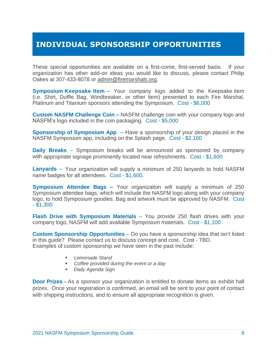## **INDIVIDUAL SPONSORSHIP OPPORTUNITIES**

These special opportunities are available on a first-come, first-served basis. If your organization has other add-on ideas you would like to discuss, please contact Philip Oakes at 307-433-8078 or [admin@firemarshals.org.](mailto:admin@firemarshals.org)

**Symposium Keepsake Item** – Your company logo added to the Keepsake item (i.e. Shirt, Duffle Bag, Windbreaker, or other item) presented to each Fire Marshal, Platinum and Titanium sponsors attending the Symposium. Cost - \$6,000

**Custom NASFM Challenge Coin –** NASFM challenge coin with your company logo and NASFM's logo included in the coin packaging. Cost - \$5,000

**Sponsorship of Symposium App** – Have a sponsorship of your design placed in the NASFM Symposium app, including on the Splash page. Cost - \$2,100

**Daily Breaks** – Symposium breaks will be announced as sponsored by company with appropriate signage prominently located near refreshments. Cost - \$1,600

**Lanyards** – Your organization will supply a minimum of 250 lanyards to hold NASFM name badges for all attendees. Cost - \$1,600.

**Symposium Attendee Bags –** Your organization will supply a minimum of 250 Symposium attendee bags, which will include the NASFM logo along with your company logo, to hold Symposium goodies. Bag and artwork must be approved by NASFM. Cost - \$1,300

**Flash Drive with Symposium Materials** – You provide 250 flash drives with your company logo, NASFM will add available Symposium materials. Cost - \$1,100

**Custom Sponsorship Opportunities** – Do you have a sponsorship idea that isn't listed in this guide? Please contact us to discuss concept and cost. Cost - TBD. Examples of custom sponsorship we have seen in the past include:

- Lemonade Stand
- *Coffee provided during the event or a day*
- *Daily Agenda Sign*

**Door Prizes -** As a sponsor your organization is entitled to donate items as exhibit hall prizes. Once your registration is confirmed, an email will be sent to your point of contact with shipping instructions, and to ensure all appropriate recognition is given.